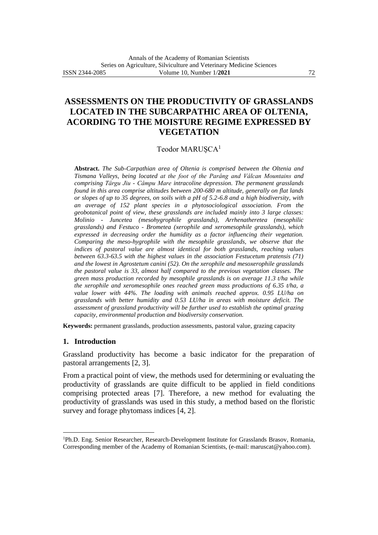# **ASSESSMENTS ON THE PRODUCTIVITY OF GRASSLANDS LOCATED IN THE SUBCARPATHIC AREA OF OLTENIA, ACORDING TO THE MOISTURE REGIME EXPRESSED BY VEGETATION**

## Teodor MARUȘCA<sup>1</sup>

**Abstract.** *The Sub-Carpathian area of Oltenia is comprised between the Oltenia and Tismana Valleys, being located at the foot of the Parâng and Vâlcan Mountains and comprising Târgu Jiu - Câmpu Mare intracoline depression. The permanent grasslands found in this area comprise altitudes between 200-680 m altitude, generally on flat lands or slopes of up to 35 degrees, on soils with a pH of 5.2-6.8 and a high biodiversity, with an average of 152 plant species in a phytosociological association. From the geobotanical point of view, these grasslands are included mainly into 3 large classes: Molinio - Juncetea (mesohygrophile grasslands), Arrhenatheretea (mesophilic grasslands) and Festuco - Brometea (xerophile and xeromesophile grasslands), which expressed in decreasing order the humidity as a factor influencing their vegetation. Comparing the meso-hygrophile with the mesophile grasslands, we observe that the indices of pastoral value are almost identical for both grasslands, reaching values between 63.3-63.5 with the highest values in the association Festucetum pratensis (71) and the lowest in Agrostetum canini (52). On the xerophile and mesoxerophile grasslands the pastoral value is 33, almost half compared to the previous vegetation classes. The green mass production recorded by mesophile grasslands is on average 11.3 t/ha while the xerophile and xeromesophile ones reached green mass productions of 6.35 t/ha, a value lower with 44%. The loading with animals reached approx. 0.95 LU/ha on grasslands with better humidity and 0.53 LU/ha in areas with moisture deficit. The assessment of grassland productivity will be further used to establish the optimal grazing capacity, environmental production and biodiversity conservation.*

**Keywords:** permanent grasslands, production assessments, pastoral value, grazing capacity

#### **1. Introduction**

Grassland productivity has become a basic indicator for the preparation of pastoral arrangements [2, 3].

From a practical point of view, the methods used for determining or evaluating the productivity of grasslands are quite difficult to be applied in field conditions comprising protected areas [7]. Therefore, a new method for evaluating the productivity of grasslands was used in this study, a method based on the floristic survey and forage phytomass indices [4, 2].

<sup>1</sup>Ph.D. Eng. Senior Researcher, Research-Development Institute for Grasslands Brasov, Romania, Corresponding member of the Academy of Romanian Scientists, (e-mail: maruscat@yahoo.com).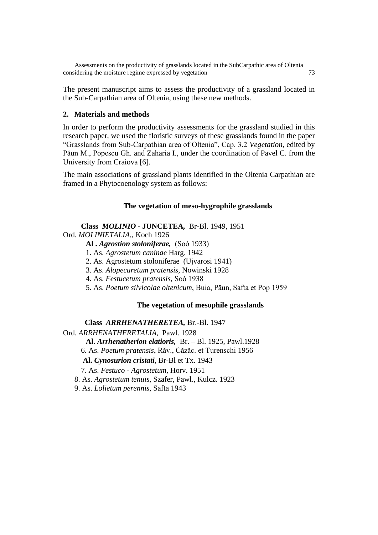The present manuscript aims to assess the productivity of a grassland located in the Sub-Carpathian area of Oltenia, using these new methods.

# **2. Materials and methods**

In order to perform the productivity assessments for the grassland studied in this research paper, we used the floristic surveys of these grasslands found in the paper "Grasslands from Sub-Carpathian area of Oltenia", Cap. 3.2 *Vegetation*, edited by Păun M., Popescu Gh. and Zaharia I., under the coordination of Pavel C. from the University from Craiova [6].

The main associations of grassland plants identified in the Oltenia Carpathian are framed in a Phytocoenology system as follows:

## **The vegetation of meso-hygrophile grasslands**

## **Class** *MOLINIO* **- JUNCETEA***,* Br-Bl. 1949, 1951

Ord. *MOLINIETALIA,*, Koch 1926

**Al .** *Agrostion stoloniferae,* (Soó 1933)

1. As. *Agrostetum caninae* Harg. 1942

2. As. Agrostetum stoloniferae (Ujvarosi 1941)

3. As. *Alopecuretum pratensis,* Nowinski 1928

4. As. *Festucetum pratensis,* Soó 1938

5. As. *Poetum silvicolae oltenicum*, Buia, Păun, Safta et Pop 1959

## **The vegetation of mesophile grasslands**

**Class** *ARRHENATHERETEA,* Br.-Bl. 1947

Ord. *ARRHENATHERETALIA,* Pawl. 1928

**Al.** *Arrhenatherion elatioris,* Br. – Bl. 1925, Pawl.1928

6. As. *Poetum pratensis*, Răv., Căzăc. et Turenschi 1956

**Al.** *Cynosurion cristati,* Br-Bl et Tx. 1943

7. As. *Festuco - Agrostetum*, Horv. 1951

8. As. *Agrostetum tenuis*, Szafer, Pawl., Kulcz. 1923

9. As. *Lolietum perennis*, Safta 1943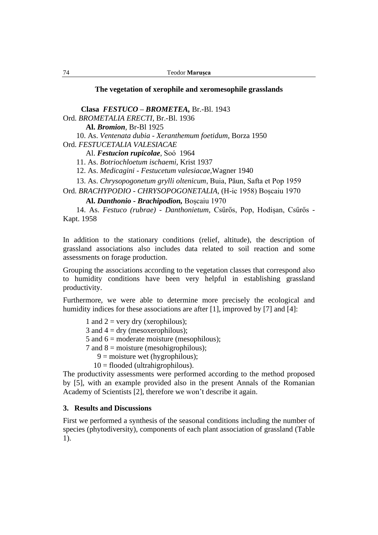#### **The vegetation of xerophile and xeromesophile grasslands**

**Clasa** *FESTUCO – BROMETEA,* Br.-Bl. 1943 Ord. *BROMETALIA ERECTI*, Br.-Bl. 1936

**Al.** *Bromion*, Br-Bl 1925

10. As. *Ventenata dubia - Xeranthemum foetidum*, Borza 1950

Ord. *FESTUCETALIA VALESIACAE*

Al. *Festucion rupicolae*, Soó 1964

11. As. *Botriochloetum ischaemi,* Krist 1937

12. As. *Medicagini - Festucetum valesiacae,*Wagner 1940

13. As. *Chrysopogonetum grylli oltenicum*, Buia, Păun, Safta et Pop 1959

Ord. *BRACHYPODIO - CHRYSOPOGONETALIA,* (H-ic 1958) Boșcaiu 1970

**Al.** *Danthonio - Brachipodion,* Boșcaiu 1970

 14. As. *Festuco (rubrae) - Danthonietum,* Csűrős, Pop, Hodișan, Csűrős - Kapt. 1958

In addition to the stationary conditions (relief, altitude), the description of grassland associations also includes data related to soil reaction and some assessments on forage production.

Grouping the associations according to the vegetation classes that correspond also to humidity conditions have been very helpful in establishing grassland productivity.

Furthermore, we were able to determine more precisely the ecological and humidity indices for these associations are after [1], improved by [7] and [4]:

1 and  $2 = \text{very dry (xerophilous)}$ ;

3 and  $4 =$  dry (mesoxerophilous);

5 and  $6 =$  moderate moisture (mesophilous);

7 and  $8 = \text{moisture}$  (mesohigrophilous);

- $9 =$  moisture wet (hygrophilous);
- $10 =$  flooded (ultrahigrophilous).

The productivity assessments were performed according to the method proposed by [5], with an example provided also in the present Annals of the Romanian Academy of Scientists [2], therefore we won't describe it again.

#### **3. Results and Discussions**

First we performed a synthesis of the seasonal conditions including the number of species (phytodiversity), components of each plant association of grassland (Table 1).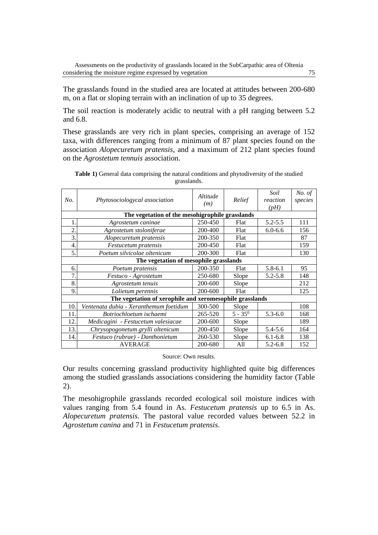The grasslands found in the studied area are located at attitudes between 200-680 m, on a flat or sloping terrain with an inclination of up to 35 degrees.

The soil reaction is moderately acidic to neutral with a pH ranging between 5.2 and 6.8.

These grasslands are very rich in plant species, comprising an average of 152 taxa, with differences ranging from a minimum of 87 plant species found on the association *Alopecuretum pratensis*, and a maximum of 212 plant species found on the *Agrostetum tennuis* association.

| No.                                                      | Phytosociologycal association                   | <i>Altitude</i><br>(m) | Relief     | Soil<br>reaction<br>(pH) | No. of<br>species |  |  |  |  |
|----------------------------------------------------------|-------------------------------------------------|------------------------|------------|--------------------------|-------------------|--|--|--|--|
|                                                          | The vegetation of the mesohigrophile grasslands |                        |            |                          |                   |  |  |  |  |
| 1.                                                       | Agrostetum caninae                              | 250-450                | Flat       | $5.2 - 5.5$              | 111               |  |  |  |  |
| $\overline{2}$ .                                         | Agrostetum stoloniferae                         | 200-400                | Flat       | $6.0 - 6.6$              | 156               |  |  |  |  |
| 3.                                                       | Alopecuretum pratensis                          | 200-350                | Flat       |                          | 87                |  |  |  |  |
| 4.                                                       | Festucetum pratensis                            | 200-450                | Flat       |                          | 159               |  |  |  |  |
| 5.                                                       | Poetum silvicolae oltenicum                     | 200-300                | Flat       |                          | 130               |  |  |  |  |
| The vegetation of mesophile grasslands                   |                                                 |                        |            |                          |                   |  |  |  |  |
| 6.                                                       | Poetum pratensis                                | 200-350                | Flat       | $5.8 - 6.1$              | 95                |  |  |  |  |
| 7.                                                       | Festuco - Agrostetum                            | 250-680                | Slope      | $5.2 - 5.8$              | 148               |  |  |  |  |
| 8.                                                       | Agrostetum tenuis                               | 200-600                | Slope      |                          | 212               |  |  |  |  |
| 9.                                                       | Lolietum perennis                               | 200-600                | Flat       |                          | 125               |  |  |  |  |
| The vegetation of xerophile and xeromesophile grasslands |                                                 |                        |            |                          |                   |  |  |  |  |
| 10.                                                      | Ventenata dubia - Xeranthemum foetidum          | 300-500                | Slope      |                          | 108               |  |  |  |  |
| 11                                                       | Botriochloetum ischaemi                         | 265-520                | $5 - 35^0$ | $5.3 - 6.0$              | 168               |  |  |  |  |
| 12.                                                      | Medicagini - Festucetum valesiacae              | 200-600                | Slope      |                          | 189               |  |  |  |  |
| 13.                                                      | Chrysopogonetum grylli oltenicum                | 200-450                | Slope      | 5.4-5.6                  | 164               |  |  |  |  |
| 14.                                                      | Festuco (rubrae) - Danthonietum                 | 260-530                | Slope      | $6.1 - 6.8$              | 138               |  |  |  |  |
|                                                          | <b>AVERAGE</b>                                  | 200-680                | All        | $5.2 - 6.8$              | 152               |  |  |  |  |

**Table 1)** General data comprising the natural conditions and phytodiversity of the studied grasslands.

Source: Own results.

Our results concerning grassland productivity highlighted quite big differences among the studied grasslands associations considering the humidity factor (Table 2).

The mesohigrophile grasslands recorded ecological soil moisture indices with values ranging from 5.4 found in As. *Festucetum pratensis* up to 6.5 in As. *Alopecuretum pratensis*. The pastoral value recorded values between 52.2 in *Agrostetum canina* and 71 in *Festucetum pratensis*.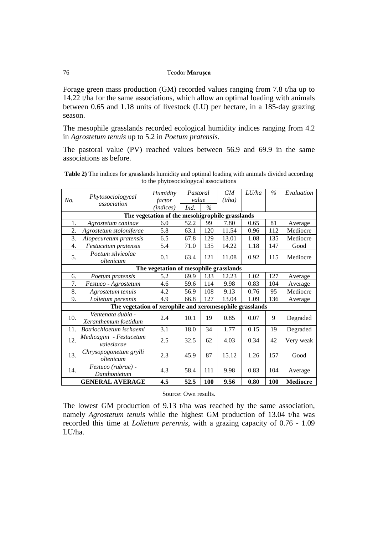Forage green mass production (GM) recorded values ranging from 7.8 t/ha up to 14.22 t/ha for the same associations, which allow an optimal loading with animals between 0.65 and 1.18 units of livestock (LU) per hectare, in a 185-day grazing season.

The mesophile grasslands recorded ecological humidity indices ranging from 4.2 in *Agrostetum tenuis* up to 5.2 in *Poetum pratensis*.

The pastoral value (PV) reached values between 56.9 and 69.9 in the same associations as before.

| No.                                                      | Phytosociologycal<br>association          | Humidity  | Pastoral |               | <b>GM</b> | LU/ha | $\%$       | Evaluation      |  |
|----------------------------------------------------------|-------------------------------------------|-----------|----------|---------------|-----------|-------|------------|-----------------|--|
|                                                          |                                           | factor    | value    |               | (t/ha)    |       |            |                 |  |
|                                                          |                                           | (indices) | Ind.     | $\frac{0}{6}$ |           |       |            |                 |  |
| The vegetation of the mesohigrophile grasslands          |                                           |           |          |               |           |       |            |                 |  |
| 1.                                                       | Agrostetum caninae                        | 6.0       | 52.2     | 99            | 7.80      | 0.65  | 81         | Average         |  |
| $\overline{2}$                                           | Agrostetum stoloniferae                   | 5.8       | 63.1     | 120           | 11.54     | 0.96  | 112        | Mediocre        |  |
| $\overline{3}$ .                                         | Alopecuretum pratensis                    | 6.5       | 67.8     | 129           | 13.01     | 1.08  | 135        | Mediocre        |  |
| 4.                                                       | <i>Festucetum pratensis</i>               | 5.4       | 71.0     | 135           | 14.22     | 1.18  | 147        | Good            |  |
| 5.                                                       | Poetum silvicolae<br>oltenicum            | 0.1       | 63.4     | 121           | 11.08     | 0.92  | 115        | Mediocre        |  |
| The vegetation of mesophile grasslands                   |                                           |           |          |               |           |       |            |                 |  |
| 6.                                                       | Poetum pratensis                          | 5.2       | 69.9     | 133           | 12.23     | 1.02  | 127        | Average         |  |
| $\overline{7}$ .                                         | Festuco - Agrostetum                      | 4.6       | 59.6     | 114           | 9.98      | 0.83  | 104        | Average         |  |
| 8.                                                       | Agrostetum tenuis                         | 4.2       | 56.9     | 108           | 9.13      | 0.76  | 95         | Mediocre        |  |
| 9.                                                       | Lolietum perennis                         | 4.9       | 66.8     | 127           | 13.04     | 1.09  | 136        | Average         |  |
| The vegetation of xerophile and xeromesophile grasslands |                                           |           |          |               |           |       |            |                 |  |
| 10.                                                      | Ventenata dubia -<br>Xeranthemum foetidum | 2.4       | 10.1     | 19            | 0.85      | 0.07  | 9          | Degraded        |  |
| 11.                                                      | Botriochloetum ischaemi                   | 3.1       | 18.0     | 34            | 1.77      | 0.15  | 19         | Degraded        |  |
| 12                                                       | Medicagini - Festucetum<br>valesiacae     | 2.5       | 32.5     | 62            | 4.03      | 0.34  | 42         | Very weak       |  |
| 13.                                                      | Chrysopogonetum grylli<br>oltenicum       | 2.3       | 45.9     | 87            | 15.12     | 1.26  | 157        | Good            |  |
| 14.                                                      | Festuco (rubrae) -<br>Danthonietum        | 4.3       | 58.4     | 111           | 9.98      | 0.83  | 104        | Average         |  |
|                                                          | <b>GENERAL AVERAGE</b>                    | 4.5       | 52.5     | <b>100</b>    | 9.56      | 0.80  | <b>100</b> | <b>Mediocre</b> |  |

**Table 2)** The indices for grasslands humidity and optimal loading with animals divided according to the phytosociologycal associations

Source: Own results.

The lowest GM production of 9.13 t/ha was reached by the same association, namely *Agrostetum tenuis* while the highest GM production of 13.04 t/ha was recorded this time at *Lolietum perennis*, with a grazing capacity of 0.76 - 1.09 LU/ha.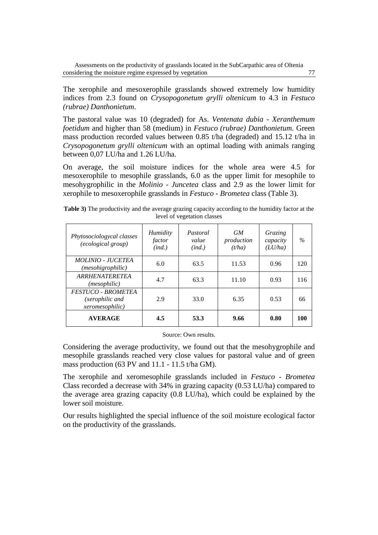The xerophile and mesoxerophile grasslands showed extremely low humidity indices from 2.3 found on *Crysopogonetum grylli oltenicum* to 4.3 in *Festuco (rubrae) Danthonietum*.

The pastoral value was 10 (degraded) for As. *Ventenata dubia* - *Xeranthemum foetidum* and higher than 58 (medium) in *Festuco (rubrae) Danthonietum*. Green mass production recorded values between 0.85 t/ha (degraded) and 15.12 t/ha in *Crysopogonetum grylli oltenicum* with an optimal loading with animals ranging between 0,07 LU/ha and 1.26 LU/ha.

On average, the soil moisture indices for the whole area were 4.5 for mesoxerophile to mesophile grasslands, 6.0 as the upper limit for mesophile to mesohygrophilic in the *Molinio - Juncetea* class and 2.9 as the lower limit for xerophile to mesoxerophile grasslands in *Festuco - Brometea* class (Table 3).

| Phytosociologycal classes<br><i>(ecological group)</i>                  | Humidity<br>factor<br>(ind.) | Pastoral<br>value<br>(ind.) | <b>GM</b><br>production<br>(t/ha) | Grazing<br>capacity<br>(LU/ha) | $\%$ |
|-------------------------------------------------------------------------|------------------------------|-----------------------------|-----------------------------------|--------------------------------|------|
| <i>MOLINIO - JUCETEA</i><br>(mesohigrophilic)                           | 6.0                          | 63.5                        | 11.53                             | 0.96                           | 120  |
| <b>ARRHENATERETEA</b><br>(mesophilic)                                   | 4.7                          | 63.3                        | 11.10                             | 0.93                           | 116  |
| <b>FESTUCO - BROMETEA</b><br>(xerophilic and<br><i>xeromesophilic</i> ) | 2.9                          | 33.0                        | 6.35                              | 0.53                           | 66   |
| <b>AVERAGE</b>                                                          | 4.5                          | 53.3                        | 9.66                              | 0.80                           | 100  |

**Table 3)** The productivity and the average grazing capacity according to the humidity factor at the level of vegetation classes

#### Source: Own results.

Considering the average productivity, we found out that the mesohygrophile and mesophile grasslands reached very close values for pastoral value and of green mass production (63 PV and 11.1 - 11.5 t/ha GM).

The xerophile and xeromesophile grasslands included in *Festuco - Brometea* Class recorded a decrease with 34% in grazing capacity (0.53 LU/ha) compared to the average area grazing capacity (0.8 LU/ha), which could be explained by the lower soil moisture.

Our results highlighted the special influence of the soil moisture ecological factor on the productivity of the grasslands.